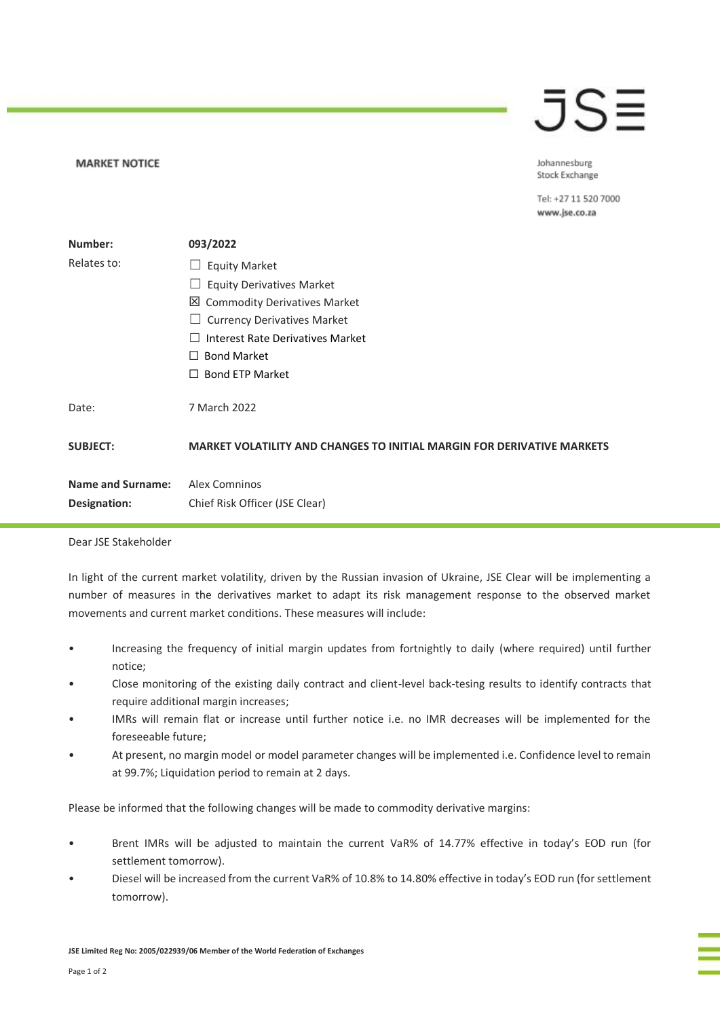## $\bar{J}S\bar{=}$

Johannesburg Stock Exchange

Tel: +27 11 520 7000 www.jse.co.za

| Number:                  | 093/2022                                                                      |
|--------------------------|-------------------------------------------------------------------------------|
| Relates to:              | <b>Equity Market</b>                                                          |
|                          | <b>Equity Derivatives Market</b>                                              |
|                          | ⊠<br><b>Commodity Derivatives Market</b>                                      |
|                          | <b>Currency Derivatives Market</b>                                            |
|                          | Interest Rate Derivatives Market                                              |
|                          | <b>Bond Market</b><br>$\perp$                                                 |
|                          | <b>Bond ETP Market</b><br>$\perp$                                             |
| Date:                    | 7 March 2022                                                                  |
| <b>SUBJECT:</b>          | <b>MARKET VOLATILITY AND CHANGES TO INITIAL MARGIN FOR DERIVATIVE MARKETS</b> |
| <b>Name and Surname:</b> | Alex Comninos                                                                 |
| Designation:             | Chief Risk Officer (JSE Clear)                                                |

Dear JSE Stakeholder

**MARKET NOTICE** 

In light of the current market volatility, driven by the Russian invasion of Ukraine, JSE Clear will be implementing a number of measures in the derivatives market to adapt its risk management response to the observed market movements and current market conditions. These measures will include:

- Increasing the frequency of initial margin updates from fortnightly to daily (where required) until further notice;
- Close monitoring of the existing daily contract and client-level back-tesing results to identify contracts that require additional margin increases;
- IMRs will remain flat or increase until further notice i.e. no IMR decreases will be implemented for the foreseeable future;
- At present, no margin model or model parameter changes will be implemented i.e. Confidence level to remain at 99.7%; Liquidation period to remain at 2 days.

Please be informed that the following changes will be made to commodity derivative margins:

- Brent IMRs will be adjusted to maintain the current VaR% of 14.77% effective in today's EOD run (for settlement tomorrow).
- Diesel will be increased from the current VaR% of 10.8% to 14.80% effective in today's EOD run (for settlement tomorrow).